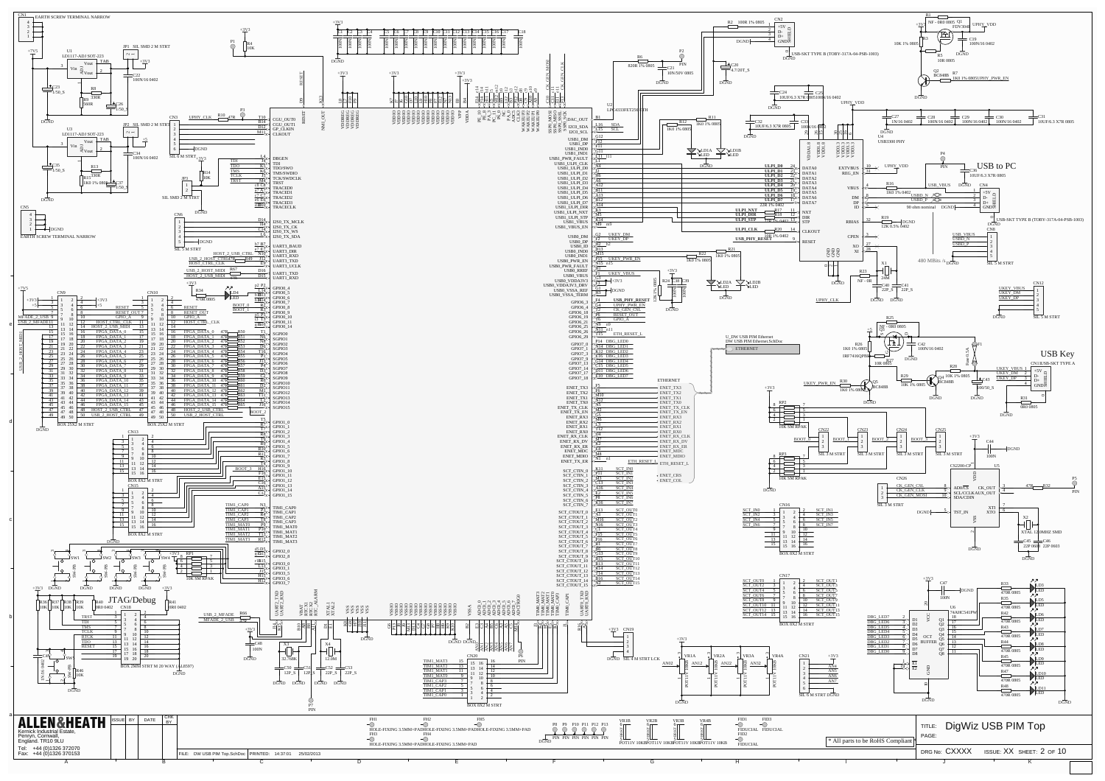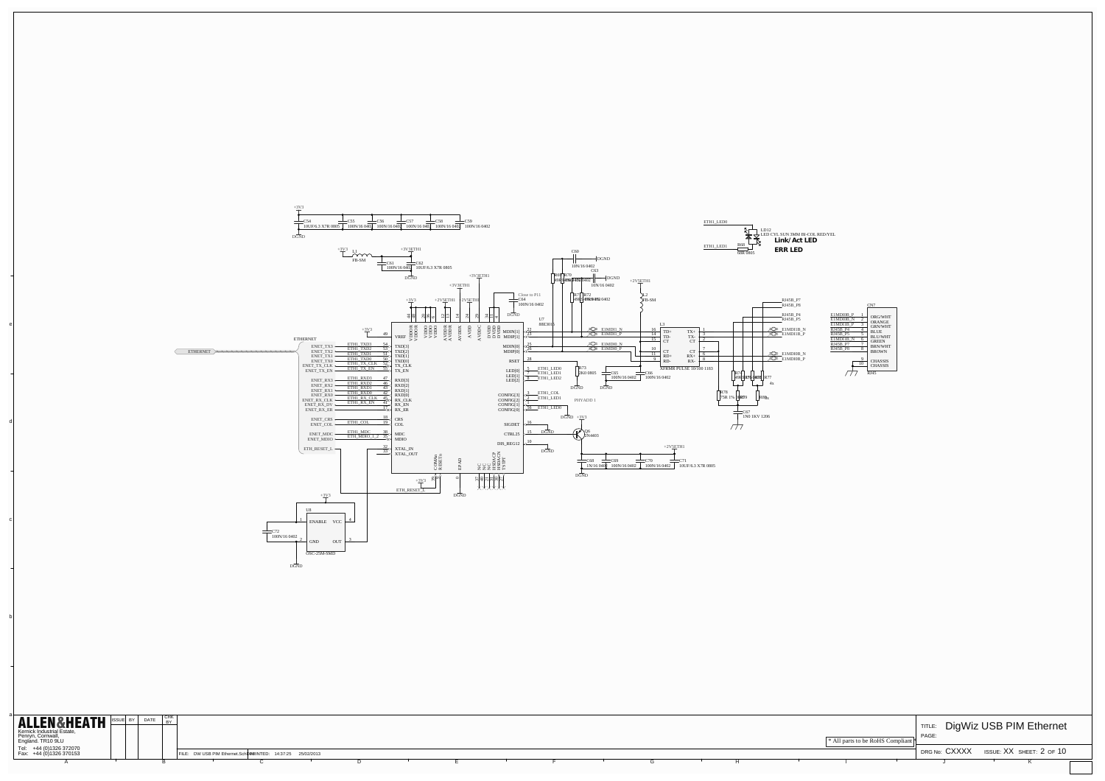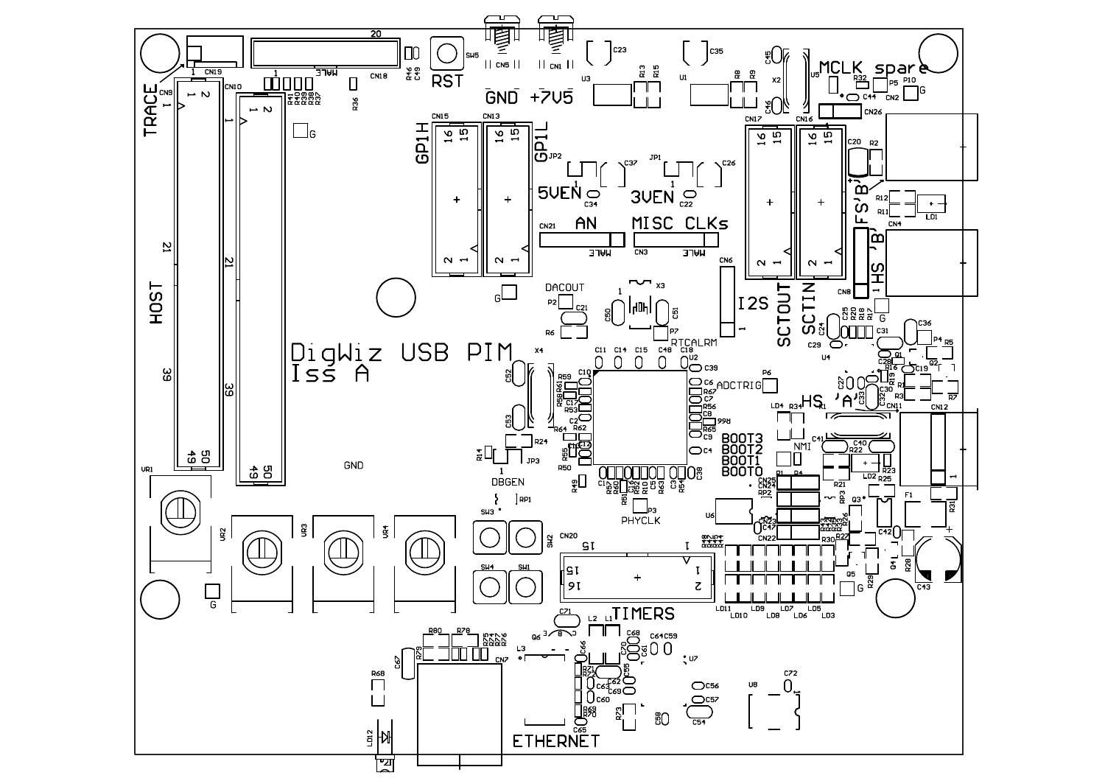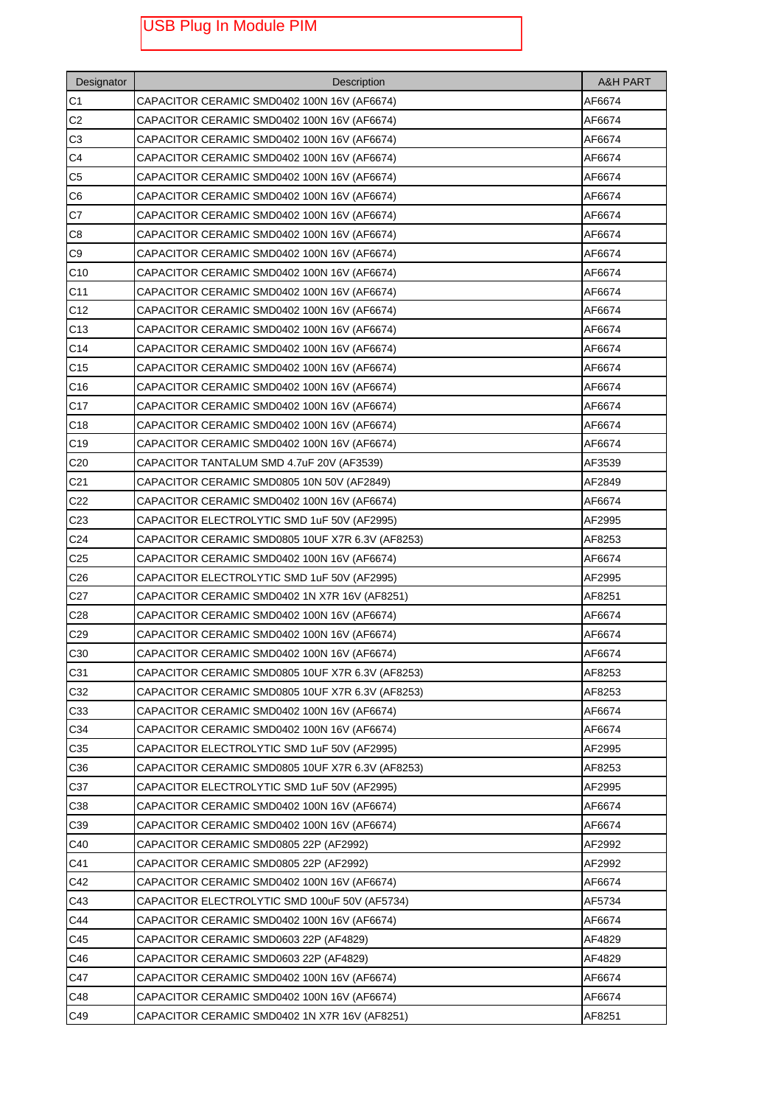## USB Plug In Module PIM

| Designator      | Description                                      | <b>A&amp;H PART</b> |
|-----------------|--------------------------------------------------|---------------------|
| C <sub>1</sub>  | CAPACITOR CERAMIC SMD0402 100N 16V (AF6674)      | AF6674              |
| C2              | CAPACITOR CERAMIC SMD0402 100N 16V (AF6674)      | AF6674              |
| C3              | CAPACITOR CERAMIC SMD0402 100N 16V (AF6674)      | AF6674              |
| C4              | CAPACITOR CERAMIC SMD0402 100N 16V (AF6674)      | AF6674              |
| C <sub>5</sub>  | CAPACITOR CERAMIC SMD0402 100N 16V (AF6674)      | AF6674              |
| C <sub>6</sub>  | CAPACITOR CERAMIC SMD0402 100N 16V (AF6674)      | AF6674              |
| C7              | CAPACITOR CERAMIC SMD0402 100N 16V (AF6674)      | AF6674              |
| C8              | CAPACITOR CERAMIC SMD0402 100N 16V (AF6674)      | AF6674              |
| C9              | CAPACITOR CERAMIC SMD0402 100N 16V (AF6674)      | AF6674              |
| C <sub>10</sub> | CAPACITOR CERAMIC SMD0402 100N 16V (AF6674)      | AF6674              |
| C <sub>11</sub> | CAPACITOR CERAMIC SMD0402 100N 16V (AF6674)      | AF6674              |
| C <sub>12</sub> | CAPACITOR CERAMIC SMD0402 100N 16V (AF6674)      | AF6674              |
| C <sub>13</sub> | CAPACITOR CERAMIC SMD0402 100N 16V (AF6674)      | AF6674              |
| C <sub>14</sub> | CAPACITOR CERAMIC SMD0402 100N 16V (AF6674)      | AF6674              |
| C <sub>15</sub> | CAPACITOR CERAMIC SMD0402 100N 16V (AF6674)      | AF6674              |
| C16             | CAPACITOR CERAMIC SMD0402 100N 16V (AF6674)      | AF6674              |
| C <sub>17</sub> | CAPACITOR CERAMIC SMD0402 100N 16V (AF6674)      | AF6674              |
| C <sub>18</sub> | CAPACITOR CERAMIC SMD0402 100N 16V (AF6674)      | AF6674              |
| C <sub>19</sub> | CAPACITOR CERAMIC SMD0402 100N 16V (AF6674)      | AF6674              |
| C <sub>20</sub> | CAPACITOR TANTALUM SMD 4.7uF 20V (AF3539)        | AF3539              |
| C <sub>21</sub> | CAPACITOR CERAMIC SMD0805 10N 50V (AF2849)       | AF2849              |
| C <sub>22</sub> | CAPACITOR CERAMIC SMD0402 100N 16V (AF6674)      | AF6674              |
| C <sub>23</sub> | CAPACITOR ELECTROLYTIC SMD 1uF 50V (AF2995)      | AF2995              |
| C <sub>24</sub> | CAPACITOR CERAMIC SMD0805 10UF X7R 6.3V (AF8253) | AF8253              |
| C <sub>25</sub> | CAPACITOR CERAMIC SMD0402 100N 16V (AF6674)      | AF6674              |
| C <sub>26</sub> | CAPACITOR ELECTROLYTIC SMD 1uF 50V (AF2995)      | AF2995              |
| C <sub>27</sub> | CAPACITOR CERAMIC SMD0402 1N X7R 16V (AF8251)    | AF8251              |
| C <sub>28</sub> | CAPACITOR CERAMIC SMD0402 100N 16V (AF6674)      | AF6674              |
| C <sub>29</sub> | CAPACITOR CERAMIC SMD0402 100N 16V (AF6674)      | AF6674              |
| C30             | CAPACITOR CERAMIC SMD0402 100N 16V (AF6674)      | AF6674              |
| C31             | CAPACITOR CERAMIC SMD0805 10UF X7R 6.3V (AF8253) | AF8253              |
| C32             | CAPACITOR CERAMIC SMD0805 10UF X7R 6.3V (AF8253) | AF8253              |
| C33             | CAPACITOR CERAMIC SMD0402 100N 16V (AF6674)      | AF6674              |
| C34             | CAPACITOR CERAMIC SMD0402 100N 16V (AF6674)      | AF6674              |
| C35             | CAPACITOR ELECTROLYTIC SMD 1uF 50V (AF2995)      | AF2995              |
| C36             | CAPACITOR CERAMIC SMD0805 10UF X7R 6.3V (AF8253) | AF8253              |
| C37             | CAPACITOR ELECTROLYTIC SMD 1uF 50V (AF2995)      | AF2995              |
| C38             | CAPACITOR CERAMIC SMD0402 100N 16V (AF6674)      | AF6674              |
| C39             | CAPACITOR CERAMIC SMD0402 100N 16V (AF6674)      | AF6674              |
| C40             | CAPACITOR CERAMIC SMD0805 22P (AF2992)           | AF2992              |
| C41             | CAPACITOR CERAMIC SMD0805 22P (AF2992)           | AF2992              |
| C42             | CAPACITOR CERAMIC SMD0402 100N 16V (AF6674)      | AF6674              |
| C43             | CAPACITOR ELECTROLYTIC SMD 100uF 50V (AF5734)    | AF5734              |
| C44             | CAPACITOR CERAMIC SMD0402 100N 16V (AF6674)      | AF6674              |
| C45             | CAPACITOR CERAMIC SMD0603 22P (AF4829)           | AF4829              |
| C46             | CAPACITOR CERAMIC SMD0603 22P (AF4829)           | AF4829              |
| C47             | CAPACITOR CERAMIC SMD0402 100N 16V (AF6674)      | AF6674              |
| C48             | CAPACITOR CERAMIC SMD0402 100N 16V (AF6674)      | AF6674              |
| C49             | CAPACITOR CERAMIC SMD0402 1N X7R 16V (AF8251)    | AF8251              |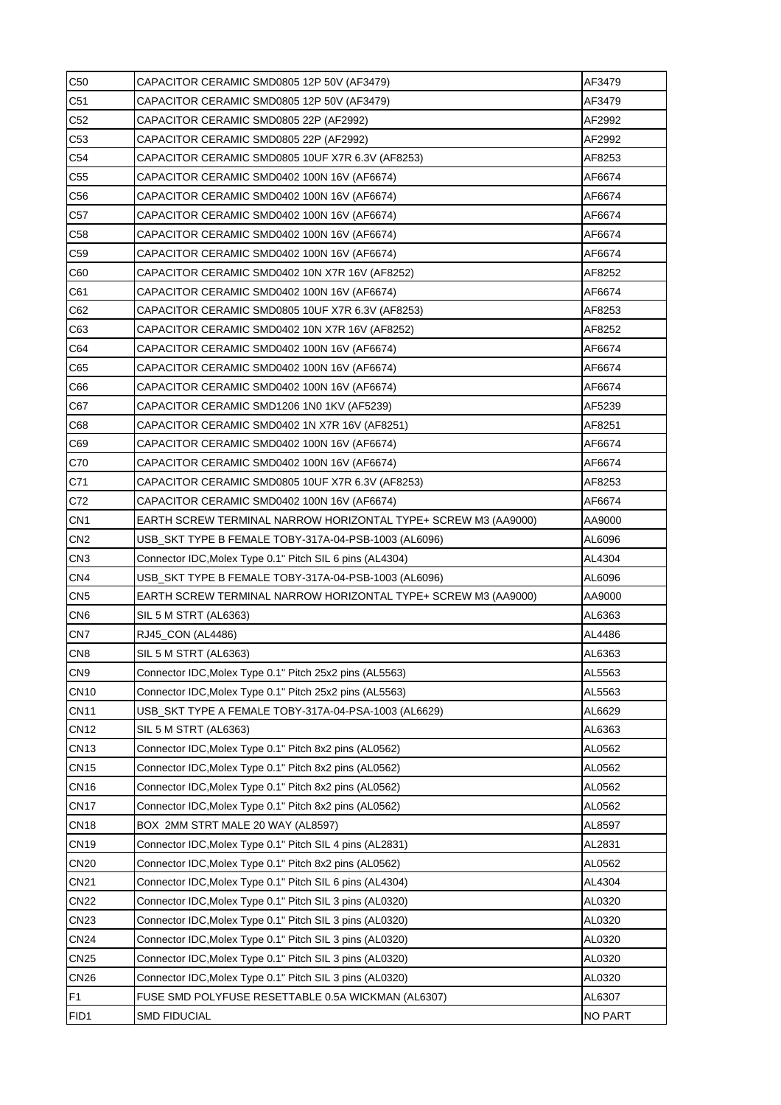| C <sub>50</sub> | CAPACITOR CERAMIC SMD0805 12P 50V (AF3479)                     | AF3479  |
|-----------------|----------------------------------------------------------------|---------|
| C <sub>51</sub> | CAPACITOR CERAMIC SMD0805 12P 50V (AF3479)                     | AF3479  |
| C52             | CAPACITOR CERAMIC SMD0805 22P (AF2992)                         | AF2992  |
| C <sub>53</sub> | CAPACITOR CERAMIC SMD0805 22P (AF2992)                         | AF2992  |
| C <sub>54</sub> | CAPACITOR CERAMIC SMD0805 10UF X7R 6.3V (AF8253)               | AF8253  |
| C55             | CAPACITOR CERAMIC SMD0402 100N 16V (AF6674)                    | AF6674  |
| C <sub>56</sub> | CAPACITOR CERAMIC SMD0402 100N 16V (AF6674)                    | AF6674  |
| C57             | CAPACITOR CERAMIC SMD0402 100N 16V (AF6674)                    | AF6674  |
| C <sub>58</sub> | CAPACITOR CERAMIC SMD0402 100N 16V (AF6674)                    | AF6674  |
| C <sub>59</sub> | CAPACITOR CERAMIC SMD0402 100N 16V (AF6674)                    | AF6674  |
| C60             | CAPACITOR CERAMIC SMD0402 10N X7R 16V (AF8252)                 | AF8252  |
| C61             | CAPACITOR CERAMIC SMD0402 100N 16V (AF6674)                    | AF6674  |
| C62             | CAPACITOR CERAMIC SMD0805 10UF X7R 6.3V (AF8253)               | AF8253  |
| C63             | CAPACITOR CERAMIC SMD0402 10N X7R 16V (AF8252)                 | AF8252  |
| C64             | CAPACITOR CERAMIC SMD0402 100N 16V (AF6674)                    | AF6674  |
| C65             | CAPACITOR CERAMIC SMD0402 100N 16V (AF6674)                    | AF6674  |
| C66             | CAPACITOR CERAMIC SMD0402 100N 16V (AF6674)                    | AF6674  |
| C67             | CAPACITOR CERAMIC SMD1206 1N0 1KV (AF5239)                     | AF5239  |
| C68             | CAPACITOR CERAMIC SMD0402 1N X7R 16V (AF8251)                  | AF8251  |
| C69             | CAPACITOR CERAMIC SMD0402 100N 16V (AF6674)                    | AF6674  |
| C70             | CAPACITOR CERAMIC SMD0402 100N 16V (AF6674)                    | AF6674  |
| C71             | CAPACITOR CERAMIC SMD0805 10UF X7R 6.3V (AF8253)               | AF8253  |
| C72             | CAPACITOR CERAMIC SMD0402 100N 16V (AF6674)                    | AF6674  |
| CN <sub>1</sub> | EARTH SCREW TERMINAL NARROW HORIZONTAL TYPE+ SCREW M3 (AA9000) | AA9000  |
| CN <sub>2</sub> |                                                                | AL6096  |
| CN <sub>3</sub> | Connector IDC, Molex Type 0.1" Pitch SIL 6 pins (AL4304)       | AL4304  |
| CN <sub>4</sub> | USB_SKT TYPE B FEMALE TOBY-317A-04-PSB-1003 (AL6096)           | AL6096  |
| CN <sub>5</sub> | EARTH SCREW TERMINAL NARROW HORIZONTAL TYPE+ SCREW M3 (AA9000) | AA9000  |
| CN <sub>6</sub> | SIL 5 M STRT (AL6363)                                          | AL6363  |
| CN <sub>7</sub> | RJ45_CON (AL4486)                                              | AL4486  |
| CN <sub>8</sub> | SIL 5 M STRT (AL6363)                                          | AL6363  |
| CN <sub>9</sub> | Connector IDC, Molex Type 0.1" Pitch 25x2 pins (AL5563)        | AL5563  |
| <b>CN10</b>     | Connector IDC, Molex Type 0.1" Pitch 25x2 pins (AL5563)        | AL5563  |
| <b>CN11</b>     | USB_SKT TYPE A FEMALE TOBY-317A-04-PSA-1003 (AL6629)           | AL6629  |
| <b>CN12</b>     | SIL 5 M STRT (AL6363)                                          | AL6363  |
| <b>CN13</b>     | Connector IDC, Molex Type 0.1" Pitch 8x2 pins (AL0562)         | AL0562  |
| <b>CN15</b>     | Connector IDC, Molex Type 0.1" Pitch 8x2 pins (AL0562)         | AL0562  |
| <b>CN16</b>     | Connector IDC, Molex Type 0.1" Pitch 8x2 pins (AL0562)         | AL0562  |
| <b>CN17</b>     | Connector IDC, Molex Type 0.1" Pitch 8x2 pins (AL0562)         | AL0562  |
| <b>CN18</b>     | BOX 2MM STRT MALE 20 WAY (AL8597)                              | AL8597  |
| <b>CN19</b>     | Connector IDC, Molex Type 0.1" Pitch SIL 4 pins (AL2831)       | AL2831  |
| <b>CN20</b>     | Connector IDC, Molex Type 0.1" Pitch 8x2 pins (AL0562)         | AL0562  |
| <b>CN21</b>     | Connector IDC, Molex Type 0.1" Pitch SIL 6 pins (AL4304)       | AL4304  |
| <b>CN22</b>     | Connector IDC, Molex Type 0.1" Pitch SIL 3 pins (AL0320)       | AL0320  |
| <b>CN23</b>     | Connector IDC, Molex Type 0.1" Pitch SIL 3 pins (AL0320)       | AL0320  |
| <b>CN24</b>     | Connector IDC, Molex Type 0.1" Pitch SIL 3 pins (AL0320)       | AL0320  |
| <b>CN25</b>     | Connector IDC, Molex Type 0.1" Pitch SIL 3 pins (AL0320)       | AL0320  |
| <b>CN26</b>     | Connector IDC, Molex Type 0.1" Pitch SIL 3 pins (AL0320)       | AL0320  |
| F <sub>1</sub>  | FUSE SMD POLYFUSE RESETTABLE 0.5A WICKMAN (AL6307)             | AL6307  |
| FID1            | <b>SMD FIDUCIAL</b>                                            | NO PART |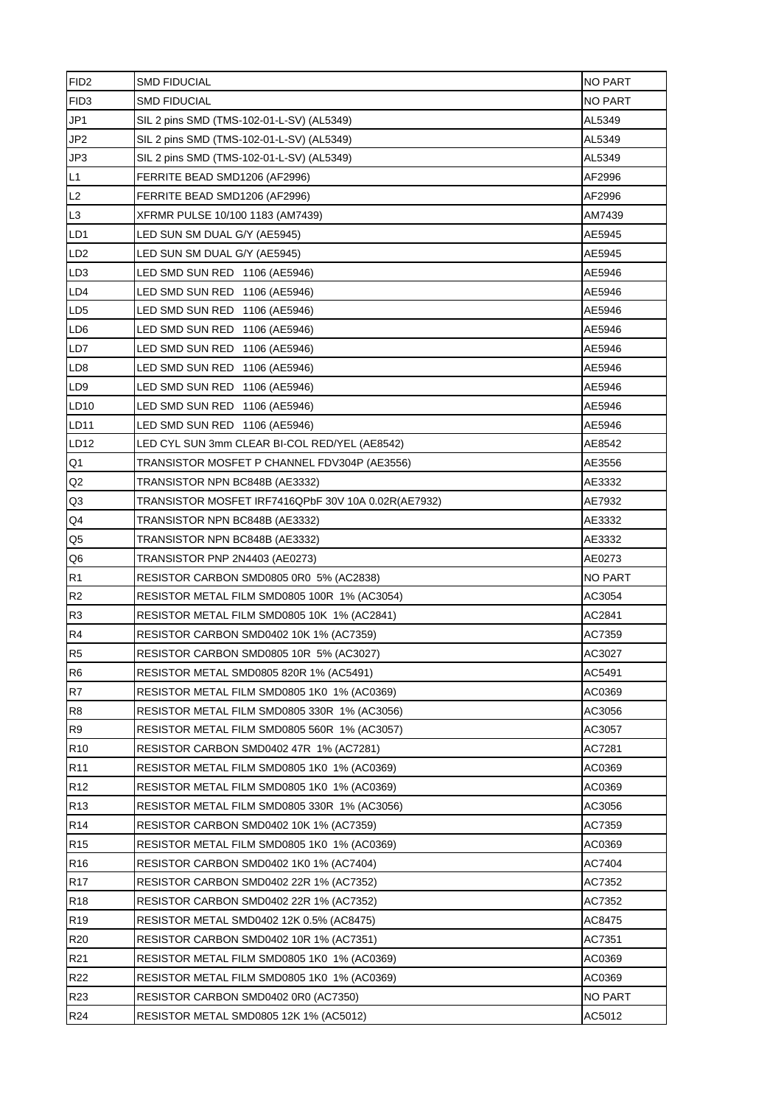| FID <sub>2</sub> | <b>SMD FIDUCIAL</b>                                 | NO PART        |
|------------------|-----------------------------------------------------|----------------|
| FID <sub>3</sub> | <b>SMD FIDUCIAL</b>                                 | <b>NO PART</b> |
| JP1              | SIL 2 pins SMD (TMS-102-01-L-SV) (AL5349)           | AL5349         |
| JP2              | SIL 2 pins SMD (TMS-102-01-L-SV) (AL5349)           | AL5349         |
| JP3              | SIL 2 pins SMD (TMS-102-01-L-SV) (AL5349)           | AL5349         |
| L1               | FERRITE BEAD SMD1206 (AF2996)                       | AF2996         |
| L2               | FERRITE BEAD SMD1206 (AF2996)                       | AF2996         |
| L3               | XFRMR PULSE 10/100 1183 (AM7439)                    | AM7439         |
| LD <sub>1</sub>  | LED SUN SM DUAL G/Y (AE5945)                        | AE5945         |
| LD <sub>2</sub>  | LED SUN SM DUAL G/Y (AE5945)                        | AE5945         |
| LD <sub>3</sub>  | LED SMD SUN RED 1106 (AE5946)                       | AE5946         |
| LD4              | LED SMD SUN RED 1106 (AE5946)                       | AE5946         |
| LD <sub>5</sub>  | LED SMD SUN RED 1106 (AE5946)                       | AE5946         |
| LD <sub>6</sub>  | LED SMD SUN RED 1106 (AE5946)                       | AE5946         |
| LD7              | LED SMD SUN RED 1106 (AE5946)                       | AE5946         |
| LD8              | LED SMD SUN RED 1106 (AE5946)                       | AE5946         |
| LD9              | LED SMD SUN RED 1106 (AE5946)                       | AE5946         |
| LD10             | LED SMD SUN RED 1106 (AE5946)                       | AE5946         |
| LD11             | LED SMD SUN RED 1106 (AE5946)                       | AE5946         |
| LD12             | LED CYL SUN 3mm CLEAR BI-COL RED/YEL (AE8542)       | AE8542         |
| Q1               | TRANSISTOR MOSFET P CHANNEL FDV304P (AE3556)        | AE3556         |
| Q2               | TRANSISTOR NPN BC848B (AE3332)                      | AE3332         |
| Q3               | TRANSISTOR MOSFET IRF7416QPbF 30V 10A 0.02R(AE7932) | AE7932         |
| Q4               | TRANSISTOR NPN BC848B (AE3332)                      | AE3332         |
| Q <sub>5</sub>   | TRANSISTOR NPN BC848B (AE3332)                      | AE3332         |
| Q <sub>6</sub>   | TRANSISTOR PNP 2N4403 (AE0273)                      | AE0273         |
| R <sub>1</sub>   | RESISTOR CARBON SMD0805 0R0_5% (AC2838)             | NO PART        |
| R <sub>2</sub>   | RESISTOR METAL FILM SMD0805 100R 1% (AC3054)        | AC3054         |
| R <sub>3</sub>   | RESISTOR METAL FILM SMD0805 10K 1% (AC2841)         | AC2841         |
| R4               | RESISTOR CARBON SMD0402 10K 1% (AC7359)             | AC7359         |
| R <sub>5</sub>   | RESISTOR CARBON SMD0805 10R 5% (AC3027)             | AC3027         |
| R <sub>6</sub>   | RESISTOR METAL SMD0805 820R 1% (AC5491)             | AC5491         |
| R7               | RESISTOR METAL FILM SMD0805 1K0 1% (AC0369)         | AC0369         |
| R <sub>8</sub>   | RESISTOR METAL FILM SMD0805 330R 1% (AC3056)        | AC3056         |
| R <sub>9</sub>   | RESISTOR METAL FILM SMD0805 560R 1% (AC3057)        | AC3057         |
| R <sub>10</sub>  | RESISTOR CARBON SMD0402 47R 1% (AC7281)             | AC7281         |
| R <sub>11</sub>  | RESISTOR METAL FILM SMD0805 1K0 1% (AC0369)         | AC0369         |
| R <sub>12</sub>  | RESISTOR METAL FILM SMD0805 1K0 1% (AC0369)         | AC0369         |
| R <sub>13</sub>  | RESISTOR METAL FILM SMD0805 330R 1% (AC3056)        | AC3056         |
| R <sub>14</sub>  | RESISTOR CARBON SMD0402 10K 1% (AC7359)             | AC7359         |
| R <sub>15</sub>  | RESISTOR METAL FILM SMD0805 1K0 1% (AC0369)         | AC0369         |
| R <sub>16</sub>  | RESISTOR CARBON SMD0402 1K0 1% (AC7404)             | AC7404         |
| R <sub>17</sub>  | RESISTOR CARBON SMD0402 22R 1% (AC7352)             | AC7352         |
| R <sub>18</sub>  | RESISTOR CARBON SMD0402 22R 1% (AC7352)             | AC7352         |
| R <sub>19</sub>  | RESISTOR METAL SMD0402 12K 0.5% (AC8475)            | AC8475         |
| R <sub>20</sub>  | RESISTOR CARBON SMD0402 10R 1% (AC7351)             | AC7351         |
| R <sub>21</sub>  | RESISTOR METAL FILM SMD0805 1K0 1% (AC0369)         | AC0369         |
| R <sub>22</sub>  | RESISTOR METAL FILM SMD0805 1K0 1% (AC0369)         | AC0369         |
| R <sub>23</sub>  | RESISTOR CARBON SMD0402 0R0 (AC7350)                | <b>NO PART</b> |
| R <sub>24</sub>  | RESISTOR METAL SMD0805 12K 1% (AC5012)              | AC5012         |
|                  |                                                     |                |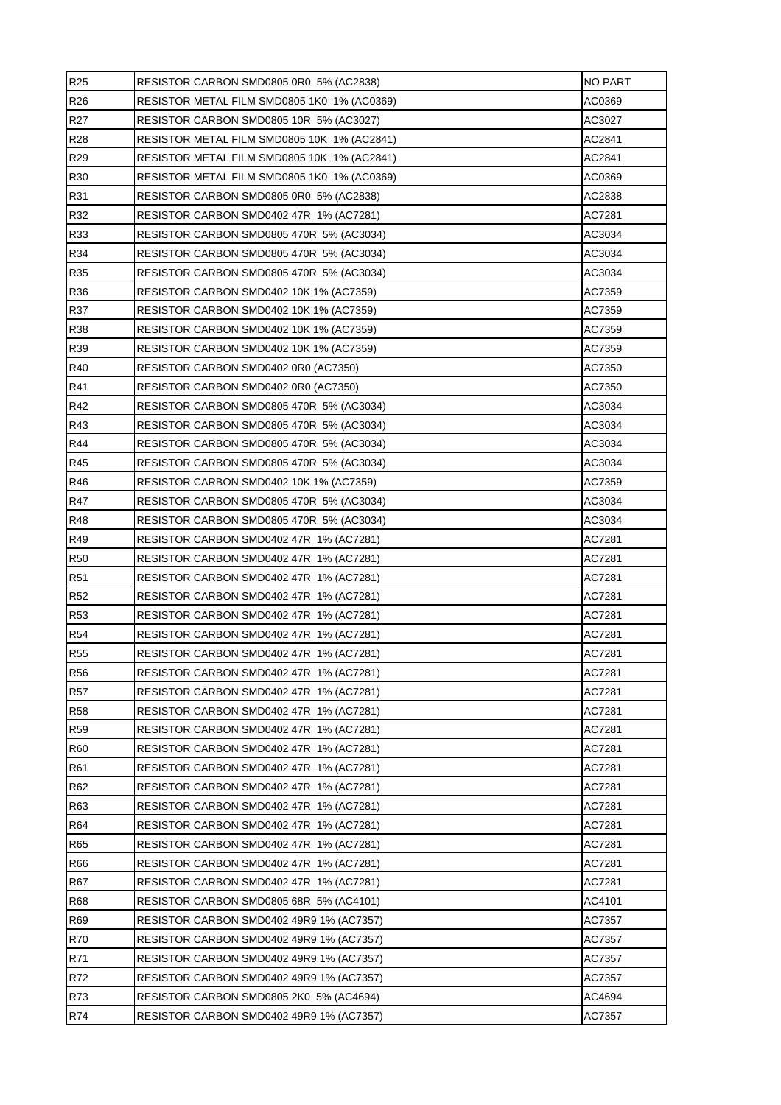| <b>R25</b>      | RESISTOR CARBON SMD0805 0R0 5% (AC2838)     | <b>NO PART</b> |
|-----------------|---------------------------------------------|----------------|
| R <sub>26</sub> | RESISTOR METAL FILM SMD0805 1K0 1% (AC0369) | AC0369         |
| R <sub>27</sub> | RESISTOR CARBON SMD0805 10R 5% (AC3027)     | AC3027         |
| <b>R28</b>      | RESISTOR METAL FILM SMD0805 10K 1% (AC2841) | AC2841         |
| R29             | RESISTOR METAL FILM SMD0805 10K 1% (AC2841) | AC2841         |
| R30             | RESISTOR METAL FILM SMD0805 1K0 1% (AC0369) | AC0369         |
| R31             | RESISTOR CARBON SMD0805 0R0 5% (AC2838)     | AC2838         |
| R32             | RESISTOR CARBON SMD0402 47R 1% (AC7281)     | AC7281         |
| R33             | RESISTOR CARBON SMD0805 470R 5% (AC3034)    | AC3034         |
| R34             | RESISTOR CARBON SMD0805 470R 5% (AC3034)    | AC3034         |
| R35             | RESISTOR CARBON SMD0805 470R 5% (AC3034)    | AC3034         |
| R36             | RESISTOR CARBON SMD0402 10K 1% (AC7359)     | AC7359         |
| <b>R37</b>      | RESISTOR CARBON SMD0402 10K 1% (AC7359)     | AC7359         |
| <b>R38</b>      | RESISTOR CARBON SMD0402 10K 1% (AC7359)     | AC7359         |
| R39             | RESISTOR CARBON SMD0402 10K 1% (AC7359)     | AC7359         |
| R40             | RESISTOR CARBON SMD0402 0R0 (AC7350)        | AC7350         |
| R41             | RESISTOR CARBON SMD0402 0R0 (AC7350)        | AC7350         |
| R42             | RESISTOR CARBON SMD0805 470R 5% (AC3034)    | AC3034         |
| R43             | RESISTOR CARBON SMD0805 470R 5% (AC3034)    | AC3034         |
| <b>R44</b>      | RESISTOR CARBON SMD0805 470R 5% (AC3034)    | AC3034         |
| R45             | RESISTOR CARBON SMD0805 470R 5% (AC3034)    | AC3034         |
| R46             | RESISTOR CARBON SMD0402 10K 1% (AC7359)     | AC7359         |
| <b>R47</b>      | RESISTOR CARBON SMD0805 470R 5% (AC3034)    | AC3034         |
| <b>R48</b>      | RESISTOR CARBON SMD0805 470R 5% (AC3034)    | AC3034         |
| R49             | RESISTOR CARBON SMD0402 47R 1% (AC7281)     | AC7281         |
| <b>R50</b>      | RESISTOR CARBON SMD0402 47R 1% (AC7281)     | AC7281         |
| <b>R51</b>      | RESISTOR CARBON SMD0402 47R 1% (AC7281)     | AC7281         |
| <b>R52</b>      | RESISTOR CARBON SMD0402 47R 1% (AC7281)     | AC7281         |
| <b>R53</b>      | RESISTOR CARBON SMD0402 47R 1% (AC7281)     | AC7281         |
| <b>R54</b>      | RESISTOR CARBON SMD0402 47R 1% (AC7281)     | AC7281         |
| <b>R55</b>      | RESISTOR CARBON SMD0402 47R 1% (AC7281)     | AC7281         |
| <b>R56</b>      | RESISTOR CARBON SMD0402 47R 1% (AC7281)     | AC7281         |
| <b>R57</b>      | RESISTOR CARBON SMD0402 47R 1% (AC7281)     | AC7281         |
| <b>R58</b>      | RESISTOR CARBON SMD0402 47R 1% (AC7281)     | AC7281         |
| <b>R59</b>      | RESISTOR CARBON SMD0402 47R 1% (AC7281)     | AC7281         |
| <b>R60</b>      | RESISTOR CARBON SMD0402 47R 1% (AC7281)     | AC7281         |
| R61             | RESISTOR CARBON SMD0402 47R 1% (AC7281)     | AC7281         |
| R62             | RESISTOR CARBON SMD0402 47R 1% (AC7281)     | AC7281         |
| R63             | RESISTOR CARBON SMD0402 47R 1% (AC7281)     | AC7281         |
| <b>R64</b>      | RESISTOR CARBON SMD0402 47R 1% (AC7281)     | AC7281         |
| <b>R65</b>      | RESISTOR CARBON SMD0402 47R 1% (AC7281)     | AC7281         |
| R66             | RESISTOR CARBON SMD0402 47R 1% (AC7281)     | AC7281         |
| <b>R67</b>      | RESISTOR CARBON SMD0402 47R 1% (AC7281)     | AC7281         |
| R68             | RESISTOR CARBON SMD0805 68R 5% (AC4101)     | AC4101         |
| R69             | RESISTOR CARBON SMD0402 49R9 1% (AC7357)    | AC7357         |
| <b>R70</b>      | RESISTOR CARBON SMD0402 49R9 1% (AC7357)    | AC7357         |
| R71             | RESISTOR CARBON SMD0402 49R9 1% (AC7357)    | AC7357         |
| R72             | RESISTOR CARBON SMD0402 49R9 1% (AC7357)    | AC7357         |
| R73             | RESISTOR CARBON SMD0805 2K0 5% (AC4694)     | AC4694         |
| R74             | RESISTOR CARBON SMD0402 49R9 1% (AC7357)    | AC7357         |